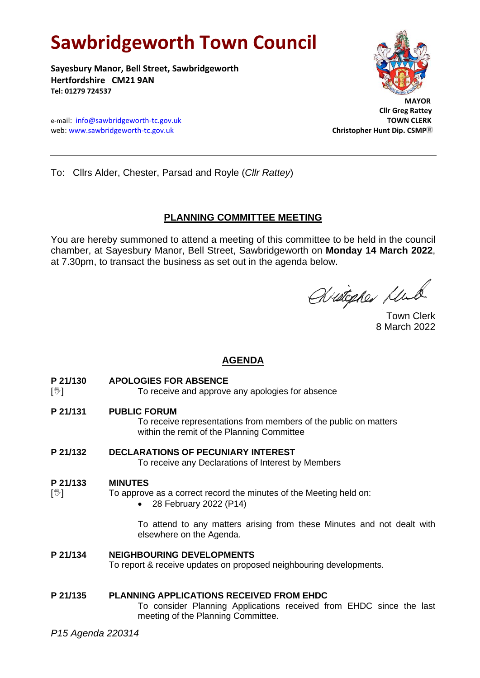# **Sawbridgeworth Town Council**

**Sayesbury Manor, Bell Street, Sawbridgeworth Hertfordshire CM21 9AN Tel: 01279 724537**

e-mail: [info@sawbridgeworth-tc.gov.uk](mailto:info@sawbridgeworth-tc.gov.uk)<br>
web: www.sawbridgeworth-tc.gov.uk **TOWN CLERK**<br>
Christopher Hunt Dip. CSMP® web: www.sawbridgeworth-tc.gov.uk



 **Cllr Greg Rattey**

To: Cllrs Alder, Chester, Parsad and Royle (*Cllr Rattey*)

## **PLANNING COMMITTEE MEETING**

You are hereby summoned to attend a meeting of this committee to be held in the council chamber, at Sayesbury Manor, Bell Street, Sawbridgeworth on **Monday 14 March 2022**, at 7.30pm, to transact the business as set out in the agenda below.

Aristopher Lub

Town Clerk 8 March 2022

## **AGENDA**

**P 21/130 APOLOGIES FOR ABSENCE**

[ $\sqrt[6]{ }$ ] To receive and approve any apologies for absence

**P 21/131 PUBLIC FORUM**

To receive representations from members of the public on matters within the remit of the Planning Committee

**P 21/132 DECLARATIONS OF PECUNIARY INTEREST**

To receive any Declarations of Interest by Members

### **P 21/133 MINUTES**

- $[\mathcal{Y}]$  To approve as a correct record the minutes of the Meeting held on:
	- 28 February 2022 (P14)

To attend to any matters arising from these Minutes and not dealt with elsewhere on the Agenda.

**P 21/134 NEIGHBOURING DEVELOPMENTS**  To report & receive updates on proposed neighbouring developments.

**P 21/135 PLANNING APPLICATIONS RECEIVED FROM EHDC** To consider Planning Applications received from EHDC since the last meeting of the Planning Committee.

*P15 Agenda 220314*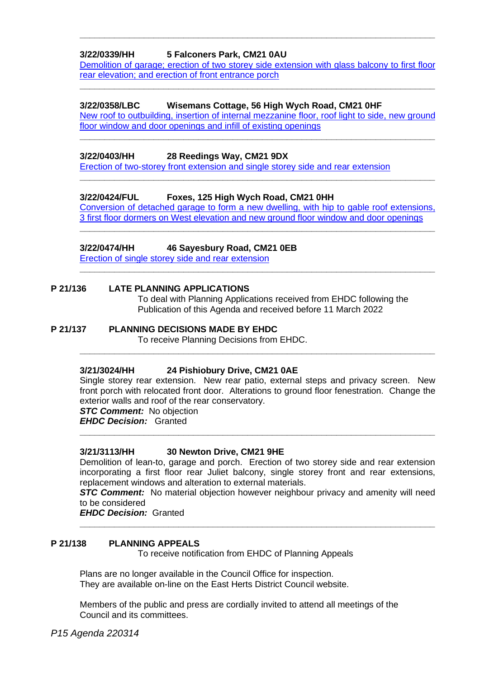#### **3/22/0339/HH 5 Falconers Park, CM21 0AU**

[Demolition of garage; erection of two storey side extension with glass balcony to first floor](https://publicaccess.eastherts.gov.uk/online-applications/applicationDetails.do?activeTab=documents&keyVal=R7C6DCGLJHD00)  rear elevation; and [erection of front entrance porch](https://publicaccess.eastherts.gov.uk/online-applications/applicationDetails.do?activeTab=documents&keyVal=R7C6DCGLJHD00)

**\_\_\_\_\_\_\_\_\_\_\_\_\_\_\_\_\_\_\_\_\_\_\_\_\_\_\_\_\_\_\_\_\_\_\_\_\_\_\_\_\_\_\_\_\_\_\_\_\_\_\_\_\_\_\_\_\_\_\_\_\_\_\_\_\_\_\_\_\_\_\_\_**

**\_\_\_\_\_\_\_\_\_\_\_\_\_\_\_\_\_\_\_\_\_\_\_\_\_\_\_\_\_\_\_\_\_\_\_\_\_\_\_\_\_\_\_\_\_\_\_\_\_\_\_\_\_\_\_\_\_\_\_\_\_\_\_\_\_\_\_\_\_\_\_\_**

#### **3/22/0358/LBC Wisemans Cottage, 56 High Wych Road, CM21 0HF**

New [roof to outbuilding, insertion of internal mezzanine floor, roof light to side, new ground](https://publicaccess.eastherts.gov.uk/online-applications/applicationDetails.do?activeTab=documents&keyVal=R7C6DCGLJHD00)  [floor window and door openings and infill of existing openings](https://publicaccess.eastherts.gov.uk/online-applications/applicationDetails.do?activeTab=documents&keyVal=R7C6DCGLJHD00) **\_\_\_\_\_\_\_\_\_\_\_\_\_\_\_\_\_\_\_\_\_\_\_\_\_\_\_\_\_\_\_\_\_\_\_\_\_\_\_\_\_\_\_\_\_\_\_\_\_\_\_\_\_\_\_\_\_\_\_\_\_\_\_\_\_\_\_\_\_\_\_\_**

#### **3/22/0403/HH 28 Reedings Way, CM21 9DX**

[Erection of two-storey front extension and single storey side and rear extension](https://publicaccess.eastherts.gov.uk/online-applications/applicationDetails.do?activeTab=documents&keyVal=R7QZLJGLJMN00)

#### **3/22/0424/FUL Foxes, 125 High Wych Road, CM21 0HH**

[Conversion of detached garage to form a new dwelling, with hip to gable roof extensions,](https://publicaccess.eastherts.gov.uk/online-applications/applicationDetails.do?activeTab=documents&keyVal=R7T9V1GLJNU00)  [3 first floor dormers on West elevation and new ground floor window and door openings](https://publicaccess.eastherts.gov.uk/online-applications/applicationDetails.do?activeTab=documents&keyVal=R7T9V1GLJNU00) **\_\_\_\_\_\_\_\_\_\_\_\_\_\_\_\_\_\_\_\_\_\_\_\_\_\_\_\_\_\_\_\_\_\_\_\_\_\_\_\_\_\_\_\_\_\_\_\_\_\_\_\_\_\_\_\_\_\_\_\_\_\_\_\_\_\_\_\_\_\_\_\_**

**\_\_\_\_\_\_\_\_\_\_\_\_\_\_\_\_\_\_\_\_\_\_\_\_\_\_\_\_\_\_\_\_\_\_\_\_\_\_\_\_\_\_\_\_\_\_\_\_\_\_\_\_\_\_\_\_\_\_\_\_\_\_\_\_\_\_\_\_\_\_\_\_**

**\_\_\_\_\_\_\_\_\_\_\_\_\_\_\_\_\_\_\_\_\_\_\_\_\_\_\_\_\_\_\_\_\_\_\_\_\_\_\_\_\_\_\_\_\_\_\_\_\_\_\_\_\_\_\_\_\_\_\_\_\_\_\_\_\_\_\_\_\_\_\_\_**

#### **3/22/0474/HH 46 Sayesbury Road, CM21 0EB**

**[Erection of single storey side and rear extension](https://publicaccess.eastherts.gov.uk/online-applications/applicationDetails.do?activeTab=documents&keyVal=R86474GLJRK00)** 

#### **P 21/136 LATE PLANNING APPLICATIONS**

To deal with Planning Applications received from EHDC following the Publication of this Agenda and received before 11 March 2022

#### **P 21/137 PLANNING DECISIONS MADE BY EHDC**

To receive Planning Decisions from EHDC.

#### **3/21/3024/HH 24 Pishiobury Drive, CM21 0AE**

Single storey rear extension. New rear patio, external steps and privacy screen. New front porch with relocated front door. Alterations to ground floor fenestration. Change the exterior walls and roof of the rear conservatory.

**\_\_\_\_\_\_\_\_\_\_\_\_\_\_\_\_\_\_\_\_\_\_\_\_\_\_\_\_\_\_\_\_\_\_\_\_\_\_\_\_\_\_\_\_\_\_\_\_\_\_\_\_\_\_\_\_\_\_\_\_\_\_\_\_\_\_\_\_\_\_\_\_**

*STC Comment:* No objection *EHDC Decision:* Granted

**\_\_\_\_\_\_\_\_\_\_\_\_\_\_\_\_\_\_\_\_\_\_\_\_\_\_\_\_\_\_\_\_\_\_\_\_\_\_\_\_\_\_\_\_\_\_\_\_\_\_\_\_\_\_\_\_\_\_\_\_\_\_\_\_\_\_\_\_\_\_\_\_**

#### **3/21/3113/HH 30 Newton Drive, CM21 9HE**

Demolition of lean-to, garage and porch. Erection of two storey side and rear extension incorporating a first floor rear Juliet balcony, single storey front and rear extensions, replacement windows and alteration to external materials.

*STC Comment:* No material objection however neighbour privacy and amenity will need to be considered

**\_\_\_\_\_\_\_\_\_\_\_\_\_\_\_\_\_\_\_\_\_\_\_\_\_\_\_\_\_\_\_\_\_\_\_\_\_\_\_\_\_\_\_\_\_\_\_\_\_\_\_\_\_\_\_\_\_\_\_\_\_\_\_\_\_\_\_\_\_\_\_\_**

*EHDC Decision:* Granted

#### **P 21/138 PLANNING APPEALS**

To receive notification from EHDC of Planning Appeals

Plans are no longer available in the Council Office for inspection. They are available on-line on the East Herts District Council website.

Members of the public and press are cordially invited to attend all meetings of the Council and its committees.